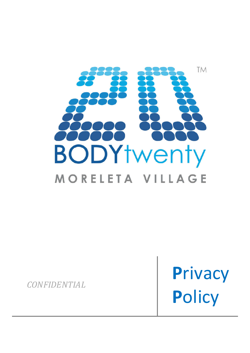

CONFIDENTIAL

Privacy **Policy**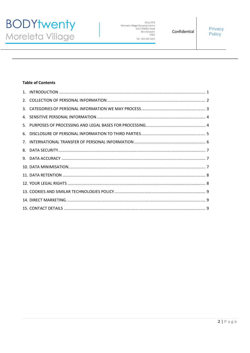Tel: 064 360 2020

#### **Table of Contents**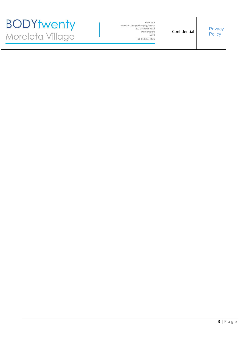Tel: 064 360 2020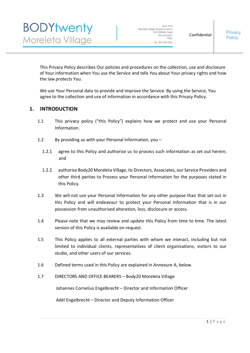This Privacy Policy describes Our policies and procedures on the collection, use and disclosure of Your information when You use the Service and tells You about Your privacy rights and how the law protects You.

We use Your Personal data to provide and improve the Service. By using the Service, You agree to the collection and use of information in accordance with this Privacy Policy.

### 1. INTRODUCTION

- 1.1 This privacy policy ("this Policy") explains how we protect and use your Personal Information.
- 1.2 By providing us with your Personal Information, you  $-$ 
	- 1.2.1 agree to this Policy and authorise us to process such information as set out herein; and
	- 1.2.2 authorise Body20 Moreleta Village, its Directors, Associates, our Service Providers and other third parties to Process your Personal Information for the purposes stated in this Policy.
- 1.3 We will not use your Personal Information for any other purpose than that set out in this Policy and will endeavour to protect your Personal Information that is in our possession from unauthorised alteration, loss, disclosure or access.
- 1.4 Please note that we may review and update this Policy from time to time. The latest version of this Policy is available on request.
- 1.5 This Policy applies to all external parties with whom we interact, including but not limited to individual clients, representatives of client organisations, visitors to our studio, and other users of our services.
- 1.6 Defined terms used in this Policy are explained in Annexure A, below.
- 1.7 DIRECTORS AND OFFICE BEARERS Body20 Moreleta Village

Johannes Cornelius Engelbrecht - Director and Information Officer

Adél Engelbrecht – Director and Deputy Information Officer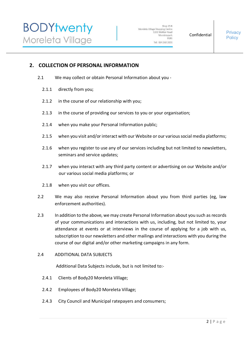### 2. COLLECTION OF PERSONAL INFORMATION

- 2.1 We may collect or obtain Personal Information about you -
	- 2.1.1 directly from you;
	- 2.1.2 in the course of our relationship with you;
	- 2.1.3 in the course of providing our services to you or your organisation;
	- 2.1.4 when you make your Personal Information public;
	- 2.1.5 when you visit and/or interact with our Website or our various social media platforms;
	- 2.1.6 when you register to use any of our services including but not limited to newsletters, seminars and service updates;
	- 2.1.7 when you interact with any third party content or advertising on our Website and/or our various social media platforms; or
	- 2.1.8 when you visit our offices.
- 2.2 We may also receive Personal Information about you from third parties (eg, law enforcement authorities).
- 2.3 In addition to the above, we may create Personal Information about you such as records of your communications and interactions with us, including, but not limited to, your attendance at events or at interviews in the course of applying for a job with us, subscription to our newsletters and other mailings and interactions with you during the course of our digital and/or other marketing campaigns in any form.
- 2.4 ADDITIONAL DATA SUBJECTS

Additional Data Subjects include, but is not limited to:-

- 2.4.1 Clients of Body20 Moreleta Village;
- 2.4.2 Employees of Body20 Moreleta Village;
- 2.4.3 City Council and Municipal ratepayers and consumers: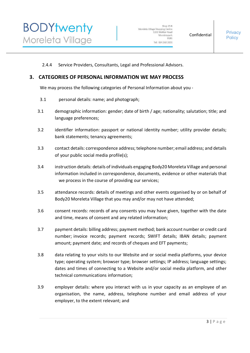2.4.4 Service Providers, Consultants, Legal and Professional Advisors.

# 3. CATEGORIES OF PERSONAL INFORMATION WE MAY PROCESS

We may process the following categories of Personal Information about you -

- 3.1 personal details: name: and photograph:
- 3.1 demographic information: gender; date of birth / age; nationality; salutation; title; and language preferences;
- 3.2 identifier information: passport or national identity number; utility provider details; bank statements; tenancy agreements;
- 3.3 contact details: correspondence address; telephone number; email address; and details of your public social media profile(s);
- 3.4 instruction details: details of individuals engaging Body20 Moreleta Village and personal information included in correspondence, documents, evidence or other materials that we process in the course of providing our services;
- 3.5 attendance records: details of meetings and other events organised by or on behalf of Body20 Moreleta Village that you may and/or may not have attended;
- 3.6 consent records: records of any consents you may have given, together with the date and time, means of consent and any related information;
- 3.7 payment details: billing address; payment method; bank account number or credit card number;invoice records; payment records; SWIFT details; IBAN details; payment amount; payment date; and records of cheques and EFT payments;
- 3.8 data relating to your visits to our Website and or social media platforms, your device type; operating system; browser type; browser settings; IP address; language settings; dates and times of connecting to a Website and/or social media platform, and other technical communications information:
- 3.9 employer details: where you interact with us in your capacity as an employee of an organisation, the name, address, telephone number and email address of your employer, to the extent relevant; and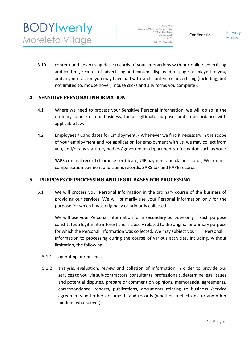Confidential Privacy

3.10 content and advertising data: records of your interactions with our online advertising and content, records of advertising and content displayed on pages displayed to you, and any interaction you may have had with such content or advertising (including, but not limited to, mouse hover, mouse clicks and any forms you complete).

### 4. SENSITIVE PERSONAL INFORMATION

- 4.1 Where we need to process your Sensitive Personal Information, we will do so in the ordinary course of our business, for a legitimate purpose, and in accordance with applicable law.
- 4.2 Employees / Candidates for Employment: Whenever we find it necessary in the scope of your employment and /or application for employment with us, we may collect from you, and/or any statutory bodies / government departments information such as your:

SAPS criminal record clearance certificate, UIF payment and claim records, Workman's compensation payment and claims records, SARS tax and PAYE records.

## 5. PURPOSES OF PROCESSING AND LEGAL BASES FOR PROCESSING

5.1 We will process your Personal Information in the ordinary course of the business of providing our services. We will primarily use your Personal Information only for the purpose for which it was originally or primarily collected.

We will use your Personal Information for a secondary purpose only if such purpose constitutes a legitimate interest and is closely related to the original or primary purpose for which the Personal Information was collected. We may subject your Personal Information to processing during the course of various activities, including, without limitation, the following:--

- 5.1.1 operating our business;
- 5.1.2 analysis, evaluation, review and collation of information in order to provide our services to you, via sub-contractors, consultants, professionals, determine legal issues and potential disputes, prepare or comment on opinions, memoranda, agreements, correspondence, reports, publications, documents relating to business /service agreements and other documents and records (whether in electronic or any other medium whatsoever) -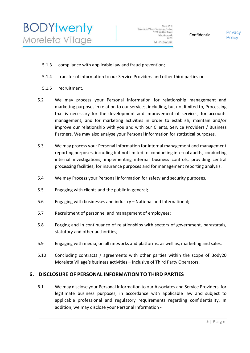- 5.1.3 compliance with applicable law and fraud prevention;
- 5.1.4 transfer of information to our Service Providers and other third parties or
- 5.1.5 recruitment.
- 5.2 We may process your Personal Information for relationship management and marketing purposes in relation to our services, including, but not limited to, Processing that is necessary for the development and improvement of services, for accounts management, and for marketing activities in order to establish, maintain and/or improve our relationship with you and with our Clients, Service Providers / Business Partners. We may also analyse your Personal Information for statistical purposes.
- 5.3 We may process your Personal Information for internal management and management reporting purposes, including but not limited to: conducting internal audits, conducting internal investigations, implementing internal business controls, providing central processing facilities, for insurance purposes and for management reporting analysis.
- 5.4 We may Process your Personal Information for safety and security purposes.
- 5.5 Engaging with clients and the public in general;
- 5.6 Engaging with businesses and industry National and International;
- 5.7 Recruitment of personnel and management of employees;
- 5.8 Forging and in continuance of relationships with sectors of government, parastatals, statutory and other authorities;
- 5.9 Engaging with media, on all networks and platforms, as well as, marketing and sales.
- 5.10 Concluding contracts / agreements with other parties within the scope of Body20 Moreleta Village's business activities – inclusive of Third Party Operators.

#### 6. DISCLOSURE OF PERSONAL INFORMATION TO THIRD PARTIES

6.1 We may disclose your Personal Information to our Associates and Service Providers, for legitimate business purposes, in accordance with applicable law and subject to applicable professional and regulatory requirements regarding confidentiality. In addition, we may disclose your Personal Information -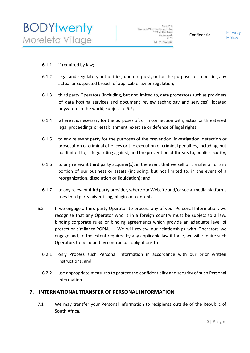- 6.1.1 if required by law;
- 6.1.2 legal and regulatory authorities, upon request, or for the purposes of reporting any actual or suspected breach of applicable law or regulation;
- 6.1.3 third party Operators (including, but not limited to, data processors such as providers of data hosting services and document review technology and services), located anywhere in the world, subject to 6.2;
- 6.1.4 where it is necessary for the purposes of, or in connection with, actual or threatened legal proceedings or establishment, exercise or defence of legal rights;
- 6.1.5 to any relevant party for the purposes of the prevention, investigation, detection or prosecution of criminal offences or the execution of criminal penalties, including, but not limited to, safeguarding against, and the prevention of threats to, public security;
- 6.1.6 to any relevant third party acquirer(s), in the event that we sell or transfer all or any portion of our business or assets (including, but not limited to, in the event of a reorganization, dissolution or liquidation); and
- 6.1.7 to any relevant third party provider, where our Website and/or social media platforms uses third party advertising, plugins or content.
- 6.2 If we engage a third party Operator to process any of your Personal Information, we recognise that any Operator who is in a foreign country must be subject to a law, binding corporate rules or binding agreements which provide an adequate level of protection similar to POPIA. We will review our relationships with Operators we engage and, to the extent required by any applicable law if force, we will require such Operators to be bound by contractual obligations to -
	- 6.2.1 only Process such Personal Information in accordance with our prior written instructions;and
	- 6.2.2 use appropriate measures to protect the confidentiality and security of such Personal Information.

# 7. INTERNATIONAL TRANSFER OF PERSONAL INFORMATION

7.1 We may transfer your Personal Information to recipients outside of the Republic of South Africa.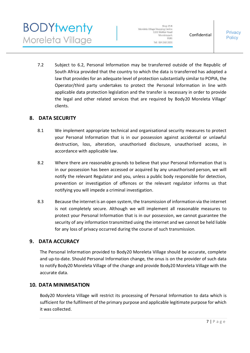Shop 25 B Moreleta Village Shopping Centre<br>1221 Wekker Road Moreletapark 0181 Tel: 064 360 2020

Confidential Privacy

7.2 Subject to 6.2, Personal Information may be transferred outside of the Republic of South Africa provided that the country to which the data is transferred has adopted a law that provides for an adequate level of protection substantially similar to POPIA, the Operator/third party undertakes to protect the Personal Information in line with applicable data protection legislation and the transfer is necessary in order to provide the legal and other related services that are required by Body20 Moreleta Village' clients.

## 8. DATA SECURITY

- 8.1 We implement appropriate technical and organisational security measures to protect your Personal Information that is in our possession against accidental or unlawful destruction, loss, alteration, unauthorised disclosure, unauthorised access, in accordance with applicable law.
- 8.2 Where there are reasonable grounds to believe that your Personal Information that is in our possession has been accessed or acquired by any unauthorised person, we will notify the relevant Regulator and you, unless a public body responsible for detection, prevention or investigation of offences or the relevant regulator informs us that notifying you will impede a criminal investigation.
- 8.3 Because the internet is an open system, the transmission of information via the internet is not completely secure. Although we will implement all reasonable measures to protect your Personal Information that is in our possession, we cannot guarantee the security of any information transmitted using the internet and we cannot be held liable for any loss of privacy occurred during the course of such transmission.

# 9. DATA ACCURACY

The Personal Information provided to Body20 Moreleta Village should be accurate, complete and up-to-date. Should Personal Information change, the onus is on the provider of such data to notify Body20 Moreleta Village of the change and provide Body20 Moreleta Village with the accurate data.

## 10. DATA MINIMISATION

Body20 Moreleta Village will restrict its processing of Personal Information to data which is sufficient for the fulfilment of the primary purpose and applicable legitimate purpose for which it was collected.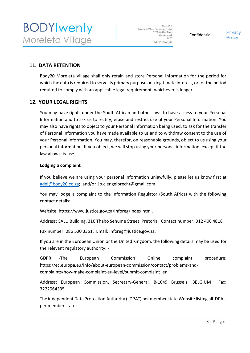Confidential Privacy **Policy** 

## 11. DATA RETENTION

Body20 Moreleta Village shall only retain and store Personal Information for the period for which the data is required to serve its primary purpose or a legitimate interest, or for the period required to comply with an applicable legal requirement, whichever is longer.

# 12. YOUR LEGAL RIGHTS

You may have rights under the South African and other laws to have access to your Personal Information and to ask us to rectify, erase and restrict use of your Personal Information. You may also have rights to object to your Personal Information being used, to ask for the transfer of Personal Information you have made available to us and to withdraw consent to the use of your Personal Information. You may, therefor, on reasonable grounds, object to us using your personal information. If you object, we will stop using your personal information, except if the law allows its use.

#### Lodging a complaint

If you believe we are using your personal information unlawfully, please let us know first at adel@body20.co.za; and/or jo.c.engelbrecht@gmail.com

You may lodge a complaint to the Information Regulator (South Africa) with the following contact details:

Website:https://www.justice.gov.za/inforeg/index.html.

Address: SALU Building, 316 Thabo Sehume Street, Pretoria. Contact number: 012 406 4818.

Fax number: 086 500 3351. Email: inforeg@justice.gov.za.

If you are in the European Union or the United Kingdom, the following details may be used for the relevant regulatory authority: -

GDPR: -The European Commission Online complaint procedure: https://ec.europa.eu/info/about-european-commission/contact/problems-andcomplaints/how-make-complaint-eu-level/submit-complaint\_en

Address: European Commission, Secretary-General, B-1049 Brussels, BELGIUM Fax: 3222964335

The independent Data Protection Authority ("DPA") per member state Website listing all DPA's per member state: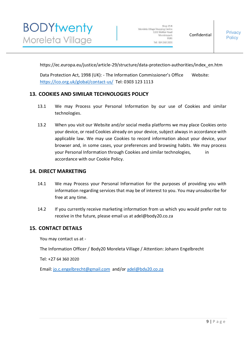https://ec.europa.eu/justice/article-29/structure/data-protection-authorities/index\_en.htm

Data Protection Act, 1998 (UK): - The Information Commissioner's Office Website: https://ico.org.uk/global/contact-us/ Tel: 0303 123 1113

# 13. COOKIES AND SIMILAR TECHNOLOGIES POLICY

- 13.1 We may Process your Personal Information by our use of Cookies and similar technologies.
- 13.2 When you visit our Website and/or social media platforms we may place Cookies onto your device, or read Cookies already on your device, subject always in accordance with applicable law.Wemay use Cookies to record information about your device, your browser and, in some cases, your preferences and browsing habits. We may process your Personal Information through Cookies and similar technologies, in accordance with our Cookie Policy.

### 14. DIRECT MARKETING

- 14.1 We may Process your Personal Information for the purposes of providing you with information regarding services that may be of interest to you. You may unsubscribe for free at any time.
- 14.2 If you currently receive marketing information from us which you would prefer not to receive in the future, please email us at adel@body20.co.za

## **15. CONTACT DETAILS**

You may contact us at -

The Information Officer / Body20 Moreleta Village / Attention: Johann Engelbrecht

Tel:+27643602020

Email: jo.c.engelbrecht@gmail.com and/or adel@bdy20.co.za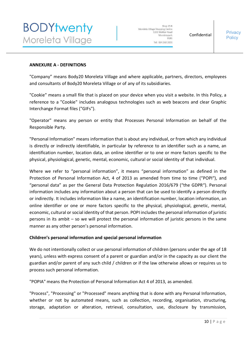Confidential Privacy

**Policy** 

#### ANNEXUREA- DEFINITIONS

"Company" means Body20 Moreleta Village and where applicable, partners, directors, employees and consultants of Body20 Moreleta Village or of any of its subsidiaries.

"Cookie" means a small file that is placed on your device when you visit a website. In this Policy, a reference to a "Cookie" includes analogous technologies such as web beacons and clear Graphic Interchange Format files ("GIFs").

"Operator" means any person or entity that Processes Personal Information on behalf of the Responsible Party.

"Personal Information" means information that is about any individual, or from which any individual is directly or indirectly identifiable, in particular by reference to an identifier such as a name, an identification number, location data, an online identifier or to one or more factors specific to the physical, physiological, genetic, mental, economic, cultural or social identity of that individual.

Where we refer to "personal information", it means "personal information" as defined in the Protection of Personal Information Act, 4 of 2013 as amended from time to time ("POPI"), and "personal data" as per the General Data Protection Regulation 2016/679 ("the GDPR"). Personal information includes any information about a person that can be used to identify a person directly or indirectly. It includes information like a name, an identification number, location information, an online identifier or one or more factors specific to the physical, physiological, genetic, mental, economic, cultural or social identity of that person. POPI includes the personal information of juristic persons in its ambit – so we will protect the personal information of juristic persons in the same manner as any other person's personal information.

#### Children's personal information and special personal information

We do not intentionally collect or use personal information of children (persons under the age of 18 years), unless with express consent of a parent or guardian and/or in the capacity as our client the guardian and/or parent of any such child / children or if the law otherwise allows or requires us to process such personal information.

"POPIA" means the Protection of Personal Information Act 4 of 2013, as amended.

"Process", "Processing" or "Processed" means anything that is done with any Personal Information, whether or not by automated means, such as collection, recording, organisation, structuring, storage, adaptation or alteration, retrieval, consultation, use, disclosure by transmission,